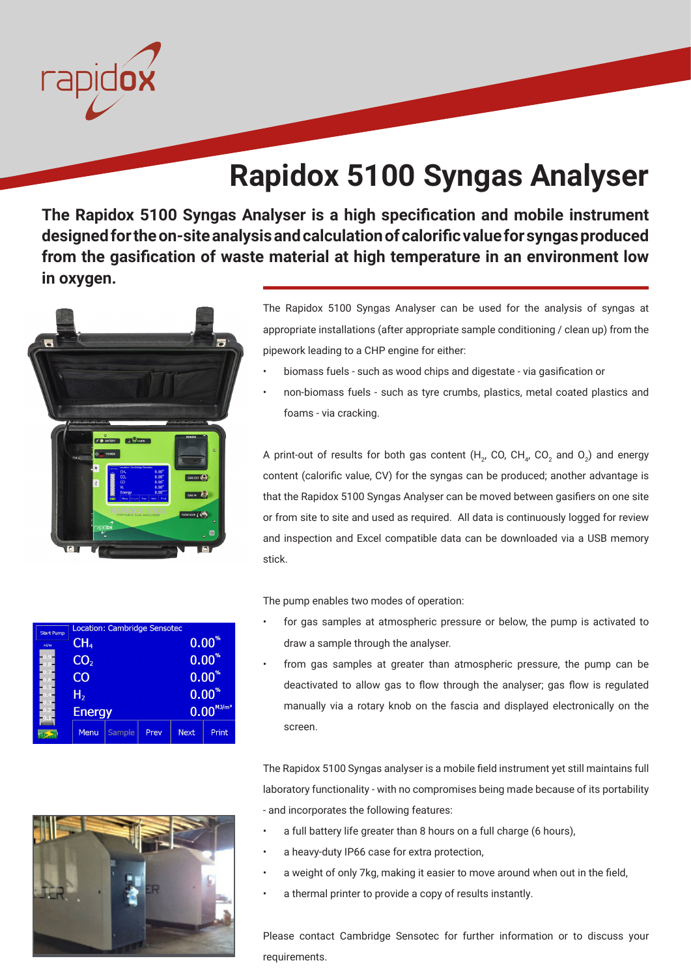

## **Rapidox 5100 Syngas Analyser**

**The Rapidox 5100 Syngas Analyser is a high specification and mobile instrument designed for the on-site analysis and calculation of calorific value for syngas produced from the gasification of waste material at high temperature in an environment low in oxygen.** 



The Rapidox 5100 Syngas Analyser can be used for the analysis of syngas at appropriate installations (after appropriate sample conditioning / clean up) from the pipework leading to a CHP engine for either:

- biomass fuels such as wood chips and digestate via gasification or
- non-biomass fuels such as tyre crumbs, plastics, metal coated plastics and foams - via cracking.

A print-out of results for both gas content (H<sub>2</sub>, CO, CH<sub>4</sub>, CO<sub>2</sub> and O<sub>2</sub>) and energy content (calorific value, CV) for the syngas can be produced; another advantage is that the Rapidox 5100 Syngas Analyser can be moved between gasifiers on one site or from site to site and used as required. All data is continuously logged for review and inspection and Excel compatible data can be downloaded via a USB memory stick.

The pump enables two modes of operation:

- for gas samples at atmospheric pressure or below, the pump is activated to draw a sample through the analyser.
	- from gas samples at greater than atmospheric pressure, the pump can be deactivated to allow gas to flow through the analyser; gas flow is regulated manually via a rotary knob on the fascia and displayed electronically on the screen.

The Rapidox 5100 Syngas analyser is a mobile field instrument yet still maintains full laboratory functionality - with no compromises being made because of its portability - and incorporates the following features:

- a full battery life greater than 8 hours on a full charge (6 hours),
- a heavy-duty IP66 case for extra protection,
- a weight of only 7kg, making it easier to move around when out in the field,
- a thermal printer to provide a copy of results instantly.

Please contact Cambridge Sensotec for further information or to discuss your requirements.

| <b>Start Pump</b> | Location: Cambridge Sensotec |        |      |             |                       |  |
|-------------------|------------------------------|--------|------|-------------|-----------------------|--|
| nl/m              | CH <sub>4</sub>              |        |      |             | $0.00*$               |  |
|                   | CO <sub>2</sub>              |        |      |             | $0.00^{*}$            |  |
|                   | CO                           |        |      |             | $0.00^{*}$            |  |
|                   | H <sub>2</sub>               |        |      | $0.00*$     |                       |  |
|                   | <b>Energy</b>                |        |      |             | $0.00^{M{\rm J/m}^3}$ |  |
|                   | Menu                         | Sample | Prev | <b>Next</b> | Print                 |  |